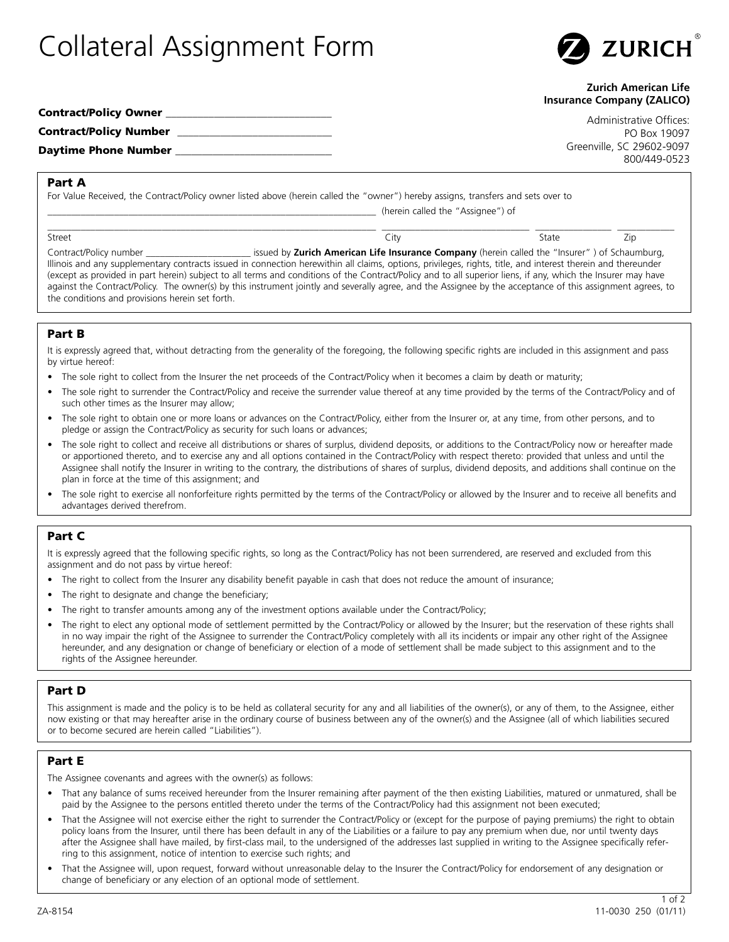# Collateral Assignment Form



#### **Zurich American Life Insurance Company (ZALICO)**

| Contract/Policy Owner  |  |
|------------------------|--|
| Contract/Policy Number |  |
| Daytime Phone Number   |  |

Administrative Offices: PO Box 19097 Greenville, SC 29602-9097 800/449-0523

## Part A

For Value Received, the Contract/Policy owner listed above (herein called the "owner") hereby assigns, transfers and sets over to

(herein called the "Assignee") of

\_\_\_\_\_\_\_\_\_\_\_\_\_\_\_\_\_\_\_\_\_\_\_\_\_\_\_\_\_\_\_\_\_\_\_\_\_\_\_\_\_\_\_\_\_\_\_\_\_\_\_\_\_\_\_\_\_\_\_\_\_\_\_\_\_\_\_\_\_ \_\_\_\_\_\_\_\_\_\_\_\_\_\_\_\_\_\_\_\_\_\_\_\_\_\_\_\_\_\_\_ \_\_\_\_\_\_\_\_\_\_\_\_\_\_\_\_ \_\_\_\_\_\_\_\_\_\_\_\_ Street City State Zip

Contract/Policy number \_\_\_\_\_\_\_\_\_\_\_\_\_\_\_\_\_\_\_\_\_\_ issued by **Zurich American Life Insurance Company** (herein called the "Insurer" ) of Schaumburg, Illinois and any supplementary contracts issued in connection herewithin all claims, options, privileges, rights, title, and interest therein and thereunder (except as provided in part herein) subject to all terms and conditions of the Contract/Policy and to all superior liens, if any, which the Insurer may have against the Contract/Policy. The owner(s) by this instrument jointly and severally agree, and the Assignee by the acceptance of this assignment agrees, to the conditions and provisions herein set forth.

## Part B

It is expressly agreed that, without detracting from the generality of the foregoing, the following specific rights are included in this assignment and pass by virtue hereof:

- The sole right to collect from the Insurer the net proceeds of the Contract/Policy when it becomes a claim by death or maturity;
- The sole right to surrender the Contract/Policy and receive the surrender value thereof at any time provided by the terms of the Contract/Policy and of such other times as the Insurer may allow;
- The sole right to obtain one or more loans or advances on the Contract/Policy, either from the Insurer or, at any time, from other persons, and to pledge or assign the Contract/Policy as security for such loans or advances;
- The sole right to collect and receive all distributions or shares of surplus, dividend deposits, or additions to the Contract/Policy now or hereafter made or apportioned thereto, and to exercise any and all options contained in the Contract/Policy with respect thereto: provided that unless and until the Assignee shall notify the Insurer in writing to the contrary, the distributions of shares of surplus, dividend deposits, and additions shall continue on the plan in force at the time of this assignment; and
- The sole right to exercise all nonforfeiture rights permitted by the terms of the Contract/Policy or allowed by the Insurer and to receive all benefits and advantages derived therefrom.

## Part C

It is expressly agreed that the following specific rights, so long as the Contract/Policy has not been surrendered, are reserved and excluded from this assignment and do not pass by virtue hereof:

- The right to collect from the Insurer any disability benefit payable in cash that does not reduce the amount of insurance;
- The right to designate and change the beneficiary;
- The right to transfer amounts among any of the investment options available under the Contract/Policy;
- The right to elect any optional mode of settlement permitted by the Contract/Policy or allowed by the Insurer; but the reservation of these rights shall in no way impair the right of the Assignee to surrender the Contract/Policy completely with all its incidents or impair any other right of the Assignee hereunder, and any designation or change of beneficiary or election of a mode of settlement shall be made subject to this assignment and to the rights of the Assignee hereunder.

#### Part D

This assignment is made and the policy is to be held as collateral security for any and all liabilities of the owner(s), or any of them, to the Assignee, either now existing or that may hereafter arise in the ordinary course of business between any of the owner(s) and the Assignee (all of which liabilities secured or to become secured are herein called "Liabilities").

#### Part E

The Assignee covenants and agrees with the owner(s) as follows:

- That any balance of sums received hereunder from the Insurer remaining after payment of the then existing Liabilities, matured or unmatured, shall be paid by the Assignee to the persons entitled thereto under the terms of the Contract/Policy had this assignment not been executed;
- That the Assignee will not exercise either the right to surrender the Contract/Policy or (except for the purpose of paying premiums) the right to obtain policy loans from the Insurer, until there has been default in any of the Liabilities or a failure to pay any premium when due, nor until twenty days after the Assignee shall have mailed, by first-class mail, to the undersigned of the addresses last supplied in writing to the Assignee specifically referring to this assignment, notice of intention to exercise such rights; and
- That the Assignee will, upon request, forward without unreasonable delay to the Insurer the Contract/Policy for endorsement of any designation or change of beneficiary or any election of an optional mode of settlement.